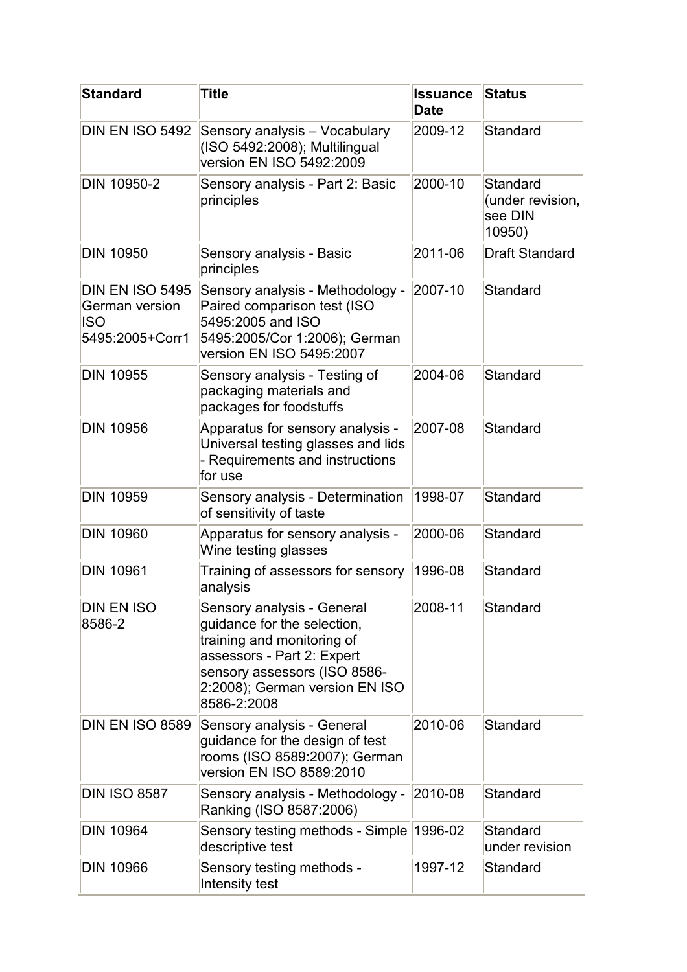| <b>Standard</b>                                                    | Title                                                                                                                                                                                                  | <b>Issuance</b><br><b>Date</b> | <b>Status</b>                                     |
|--------------------------------------------------------------------|--------------------------------------------------------------------------------------------------------------------------------------------------------------------------------------------------------|--------------------------------|---------------------------------------------------|
| DIN EN ISO 5492                                                    | Sensory analysis - Vocabulary<br>(ISO 5492:2008); Multilingual<br>version EN ISO 5492:2009                                                                                                             | 2009-12                        | Standard                                          |
| <b>DIN 10950-2</b>                                                 | Sensory analysis - Part 2: Basic<br>principles                                                                                                                                                         | 2000-10                        | Standard<br>(under revision,<br>see DIN<br>10950) |
| <b>DIN 10950</b>                                                   | Sensory analysis - Basic<br>principles                                                                                                                                                                 | 2011-06                        | <b>Draft Standard</b>                             |
| DIN EN ISO 5495<br>German version<br><b>ISO</b><br>5495:2005+Corr1 | Sensory analysis - Methodology -<br>Paired comparison test (ISO<br>5495:2005 and ISO<br>5495:2005/Cor 1:2006); German<br>version EN ISO 5495:2007                                                      | 2007-10                        | Standard                                          |
| <b>DIN 10955</b>                                                   | Sensory analysis - Testing of<br>packaging materials and<br>packages for foodstuffs                                                                                                                    | 2004-06                        | Standard                                          |
| <b>DIN 10956</b>                                                   | Apparatus for sensory analysis -<br>Universal testing glasses and lids<br>- Requirements and instructions<br>for use                                                                                   | 2007-08                        | Standard                                          |
| <b>DIN 10959</b>                                                   | Sensory analysis - Determination<br>of sensitivity of taste                                                                                                                                            | 1998-07                        | Standard                                          |
| <b>DIN 10960</b>                                                   | Apparatus for sensory analysis -<br>Wine testing glasses                                                                                                                                               | 2000-06                        | Standard                                          |
| <b>DIN 10961</b>                                                   | Training of assessors for sensory<br>analysis                                                                                                                                                          | 1996-08                        | Standard                                          |
| DIN EN ISO<br>8586-2                                               | Sensory analysis - General<br>guidance for the selection,<br>training and monitoring of<br>assessors - Part 2: Expert<br>sensory assessors (ISO 8586-<br>2:2008); German version EN ISO<br>8586-2:2008 | 2008-11                        | Standard                                          |
| DIN EN ISO 8589                                                    | Sensory analysis - General<br>guidance for the design of test<br>rooms (ISO 8589:2007); German<br>version EN ISO 8589:2010                                                                             | 2010-06                        | Standard                                          |
| <b>DIN ISO 8587</b>                                                | Sensory analysis - Methodology -<br>Ranking (ISO 8587:2006)                                                                                                                                            | 2010-08                        | Standard                                          |
| <b>DIN 10964</b>                                                   | Sensory testing methods - Simple 1996-02<br>descriptive test                                                                                                                                           |                                | Standard<br>under revision                        |
| <b>DIN 10966</b>                                                   | Sensory testing methods -<br>Intensity test                                                                                                                                                            | 1997-12                        | Standard                                          |